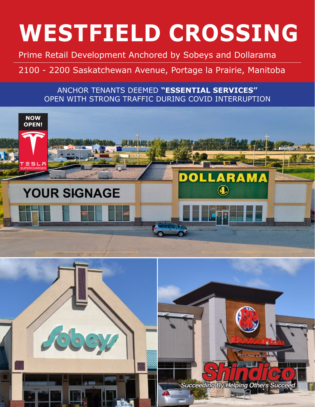Prime Retail Development Anchored by Sobeys and Dollarama

### 2100 - 2200 Saskatchewan Avenue, Portage la Prairie, Manitoba

#### ANCHOR TENANTS DEEMED **"ESSENTIAL SERVICES"** OPEN WITH STRONG TRAFFIC DURING COVID INTERRUPTION





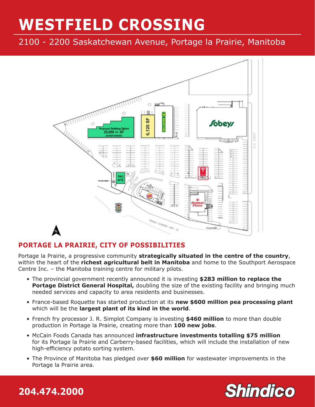2100 - 2200 Saskatchewan Avenue, Portage la Prairie, Manitoba



#### **PORTAGE LA PRAIRIE, CITY OF POSSIBILITIES**

Portage la Prairie, a progressive community **strategically situated in the centre of the country**, within the heart of the **richest agricultural belt in Manitoba** and home to the Southport Aerospace Centre Inc. – the Manitoba training centre for military pilots.

- The provincial government recently announced it is investing **\$283 million to replace the**  Portage District General Hospital, doubling the size of the existing facility and bringing much needed services and capacity to area residents and businesses.
- France-based Roquette has started production at its **new \$600 million pea processing plant**  which will be the **largest plant of its kind in the world**.
- French fry processor J. R. Simplot Company is investing **\$460 million** to more than double production in Portage la Prairie, creating more than **100 new jobs**.
- McCain Foods Canada has announced **infrastructure investments totalling \$75 million** for its Portage la Prairie and Carberry-based facilities, which will include the installation of new high-efficiency potato sorting system.
- The Province of Manitoba has pledged over **\$60 million** for wastewater improvements in the Portage la Prairie area.

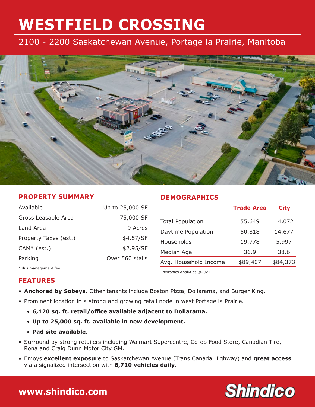#### 2100 - 2200 Saskatchewan Avenue, Portage la Prairie, Manitoba



#### **PROPERTY SUMMARY**

#### **DEMOGRAPHICS**

| Available             | Up to 25,000 SF |                            | <b>Trade Area</b> | <b>City</b> |
|-----------------------|-----------------|----------------------------|-------------------|-------------|
| Gross Leasable Area   | 75,000 SF       | <b>Total Population</b>    | 55,649            | 14,072      |
| Land Area             | 9 Acres         | Daytime Population         | 50,818            | 14,677      |
| Property Taxes (est.) | \$4.57/SF       | Households                 | 19,778            | 5,997       |
| $CAM* (est.)$         | \$2.95/SF       | Median Age                 | 36.9              | 38.6        |
| Parking               | Over 560 stalls | Avg. Household Income      | \$89,407          | \$84,373    |
| *plus management fee  |                 | Environics Analytics ©2021 |                   |             |

**FEATURES**

- **Anchored by Sobeys.** Other tenants include Boston Pizza, Dollarama, and Burger King.
- Prominent location in a strong and growing retail node in west Portage la Prairie.
	- **6,120 sq. ft. retail/office available adjacent to Dollarama.**
	- **Up to 25,000 sq. ft. available in new development.**
	- **Pad site available.**
- Surround by strong retailers including Walmart Supercentre, Co-op Food Store, Canadian Tire, Rona and Craig Dunn Motor City GM.
- Enjoys **excellent exposure** to Saskatchewan Avenue (Trans Canada Highway) and **great access** via a signalized intersection with **6,710 vehicles daily**.



### **204.474.2000 [www.shindico.com](http://www.shindico.com)**